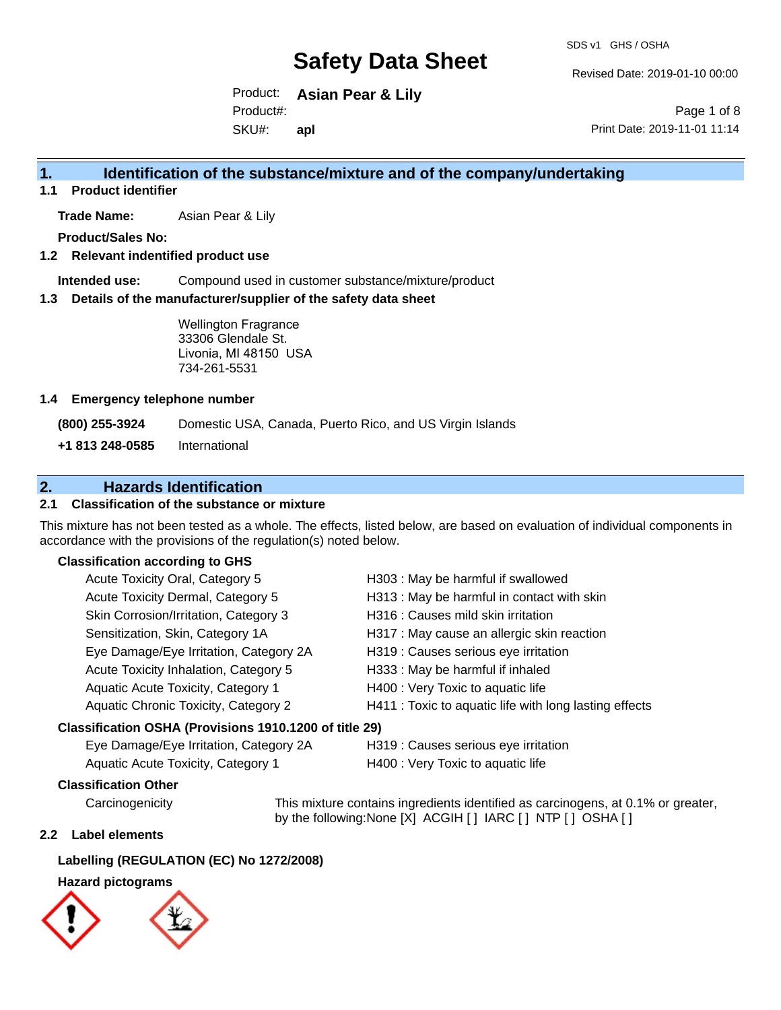Revised Date: 2019-01-10 00:00

Product: **Asian Pear & Lily** SKU#: Product#: **apl**

Page 1 of 8 Print Date: 2019-11-01 11:14

## **1. Identification of the substance/mixture and of the company/undertaking**

**1.1 Product identifier**

**Trade Name:** Asian Pear & Lily

**Product/Sales No:**

## **1.2 Relevant indentified product use**

**Intended use:** Compound used in customer substance/mixture/product

### **1.3 Details of the manufacturer/supplier of the safety data sheet**

Wellington Fragrance 33306 Glendale St. Livonia, MI 48150 USA 734-261-5531

### **1.4 Emergency telephone number**

**(800) 255-3924** Domestic USA, Canada, Puerto Rico, and US Virgin Islands

**+1 813 248-0585** International

## **2. Hazards Identification**

## **2.1 Classification of the substance or mixture**

This mixture has not been tested as a whole. The effects, listed below, are based on evaluation of individual components in accordance with the provisions of the regulation(s) noted below.

## **Classification according to GHS**

| Acute Toxicity Oral, Category 5                        | H303 : May be harmful if swallowed                     |
|--------------------------------------------------------|--------------------------------------------------------|
| Acute Toxicity Dermal, Category 5                      | H313 : May be harmful in contact with skin             |
| Skin Corrosion/Irritation, Category 3                  | H316 : Causes mild skin irritation                     |
| Sensitization, Skin, Category 1A                       | H317 : May cause an allergic skin reaction             |
| Eye Damage/Eye Irritation, Category 2A                 | H319 : Causes serious eye irritation                   |
| Acute Toxicity Inhalation, Category 5                  | H333: May be harmful if inhaled                        |
| Aquatic Acute Toxicity, Category 1                     | H400 : Very Toxic to aquatic life                      |
| Aquatic Chronic Toxicity, Category 2                   | H411 : Toxic to aquatic life with long lasting effects |
| Classification OSHA (Provisions 1910.1200 of title 29) |                                                        |

Eye Damage/Eye Irritation, Category 2A H319 : Causes serious eye irritation

Aquatic Acute Toxicity, Category 1 H400 : Very Toxic to aquatic life

## **Classification Other**

Carcinogenicity This mixture contains ingredients identified as carcinogens, at 0.1% or greater, by the following:None [X] ACGIH [ ] IARC [ ] NTP [ ] OSHA [ ]

## **2.2 Label elements**

## **Labelling (REGULATION (EC) No 1272/2008)**

## **Hazard pictograms**

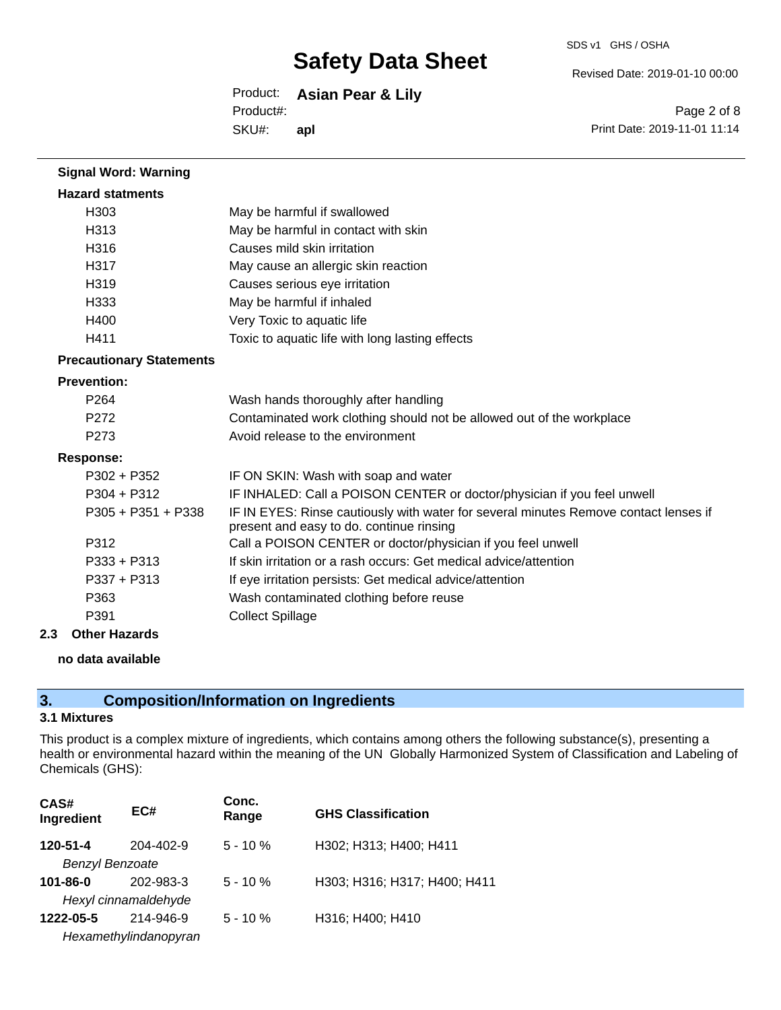SDS v1 GHS / OSHA

Revised Date: 2019-01-10 00:00

#### Product: **Asian Pear & Lily** SKU#: Product#: **apl**

Page 2 of 8 Print Date: 2019-11-01 11:14

| <b>Signal Word: Warning</b>     |                                                                                                                                  |
|---------------------------------|----------------------------------------------------------------------------------------------------------------------------------|
| <b>Hazard statments</b>         |                                                                                                                                  |
| H303                            | May be harmful if swallowed                                                                                                      |
| H313                            | May be harmful in contact with skin                                                                                              |
| H316                            | Causes mild skin irritation                                                                                                      |
| H317                            | May cause an allergic skin reaction                                                                                              |
| H319                            | Causes serious eye irritation                                                                                                    |
| H333                            | May be harmful if inhaled                                                                                                        |
| H400                            | Very Toxic to aquatic life                                                                                                       |
| H411                            | Toxic to aquatic life with long lasting effects                                                                                  |
| <b>Precautionary Statements</b> |                                                                                                                                  |
| <b>Prevention:</b>              |                                                                                                                                  |
| P <sub>264</sub>                | Wash hands thoroughly after handling                                                                                             |
| P <sub>272</sub>                | Contaminated work clothing should not be allowed out of the workplace                                                            |
| P <sub>273</sub>                | Avoid release to the environment                                                                                                 |
| <b>Response:</b>                |                                                                                                                                  |
| $P302 + P352$                   | IF ON SKIN: Wash with soap and water                                                                                             |
| $P304 + P312$                   | IF INHALED: Call a POISON CENTER or doctor/physician if you feel unwell                                                          |
| P305 + P351 + P338              | IF IN EYES: Rinse cautiously with water for several minutes Remove contact lenses if<br>present and easy to do. continue rinsing |
| P312                            | Call a POISON CENTER or doctor/physician if you feel unwell                                                                      |
| $P333 + P313$                   | If skin irritation or a rash occurs: Get medical advice/attention                                                                |
| $P337 + P313$                   | If eye irritation persists: Get medical advice/attention                                                                         |
| P363                            | Wash contaminated clothing before reuse                                                                                          |
| P391                            | <b>Collect Spillage</b>                                                                                                          |

## **2.3 Other Hazards**

## **no data available**

## **3. Composition/Information on Ingredients**

## **3.1 Mixtures**

This product is a complex mixture of ingredients, which contains among others the following substance(s), presenting a health or environmental hazard within the meaning of the UN Globally Harmonized System of Classification and Labeling of Chemicals (GHS):

| CAS#<br>Ingredient     | EC#                   | Conc.<br>Range | <b>GHS Classification</b>    |
|------------------------|-----------------------|----------------|------------------------------|
| 120-51-4               | 204-402-9             | $5 - 10%$      | H302; H313; H400; H411       |
| <b>Benzyl Benzoate</b> |                       |                |                              |
| $101 - 86 - 0$         | 202-983-3             | $5 - 10%$      | H303; H316; H317; H400; H411 |
|                        | Hexyl cinnamaldehyde  |                |                              |
| 1222-05-5              | 214-946-9             | $5 - 10%$      | H316; H400; H410             |
|                        | Hexamethylindanopyran |                |                              |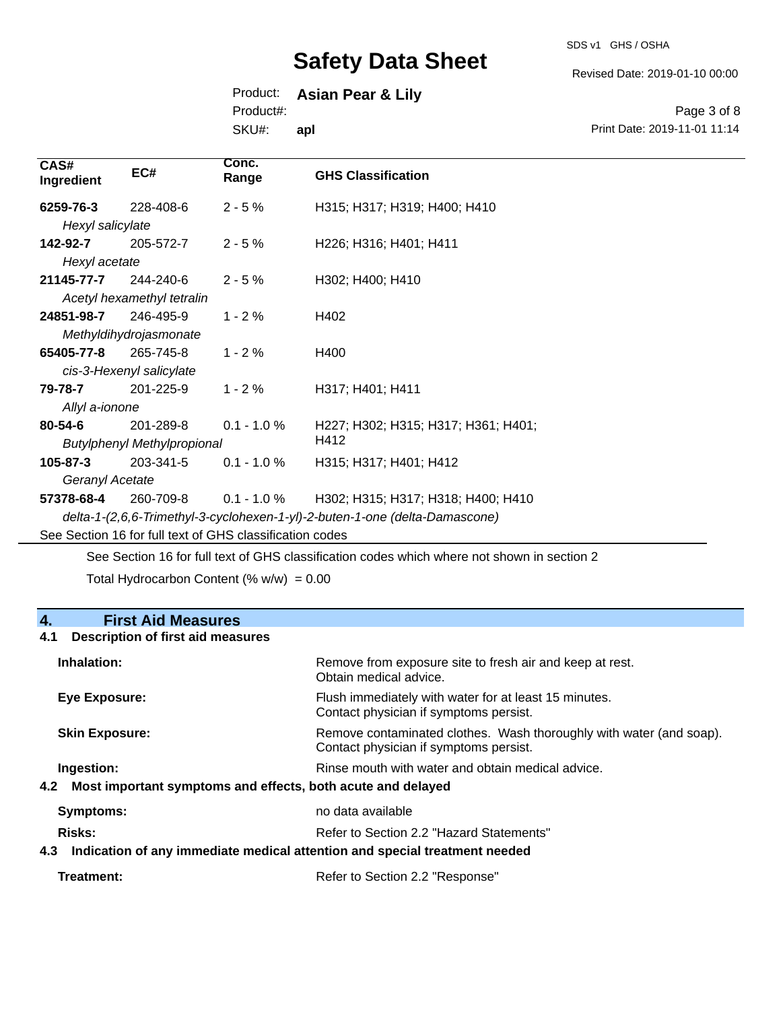SDS v1 GHS / OSHA

Revised Date: 2019-01-10 00:00

## Product: **Asian Pear & Lily**

Product#:

SKU#: **apl**

Page 3 of 8 Print Date: 2019-11-01 11:14

| CAS#<br>Ingredient                                       | EC#                        | Conc.<br>Range | <b>GHS Classification</b>                                                   |  |
|----------------------------------------------------------|----------------------------|----------------|-----------------------------------------------------------------------------|--|
| 6259-76-3                                                | 228-408-6                  | $2 - 5%$       | H315; H317; H319; H400; H410                                                |  |
| Hexyl salicylate                                         |                            |                |                                                                             |  |
| 142-92-7                                                 | 205-572-7                  | $2 - 5%$       | H226; H316; H401; H411                                                      |  |
| Hexyl acetate                                            |                            |                |                                                                             |  |
| 21145-77-7                                               | 244-240-6                  | $2 - 5%$       | H302; H400; H410                                                            |  |
|                                                          | Acetyl hexamethyl tetralin |                |                                                                             |  |
| 24851-98-7                                               | 246-495-9                  | $1 - 2%$       | H402                                                                        |  |
|                                                          | Methyldihydrojasmonate     |                |                                                                             |  |
| 65405-77-8                                               | 265-745-8                  | $1 - 2%$       | H400                                                                        |  |
|                                                          | cis-3-Hexenyl salicylate   |                |                                                                             |  |
| 79-78-7                                                  | 201-225-9                  | $1 - 2%$       | H317; H401; H411                                                            |  |
| Allyl a-ionone                                           |                            |                |                                                                             |  |
| $80 - 54 - 6$                                            | 201-289-8                  | $0.1 - 1.0 \%$ | H227; H302; H315; H317; H361; H401;                                         |  |
| <b>Butylphenyl Methylpropional</b>                       |                            |                | H412                                                                        |  |
| $105 - 87 - 3$                                           | 203-341-5                  | $0.1 - 1.0 %$  | H315; H317; H401; H412                                                      |  |
| Geranyl Acetate                                          |                            |                |                                                                             |  |
| 57378-68-4                                               | 260-709-8                  | $0.1 - 1.0 \%$ | H302; H315; H317; H318; H400; H410                                          |  |
|                                                          |                            |                | delta-1-(2,6,6-Trimethyl-3-cyclohexen-1-yl)-2-buten-1-one (delta-Damascone) |  |
| See Section 16 for full text of GHS classification codes |                            |                |                                                                             |  |
|                                                          |                            |                |                                                                             |  |

See Section 16 for full text of GHS classification codes which where not shown in section 2

Total Hydrocarbon Content (%  $w/w$ ) = 0.00

## **4. First Aid Measures**

## **4.1 Description of first aid measures**

| Inhalation:                                                                       | Remove from exposure site to fresh air and keep at rest.<br>Obtain medical advice.                            |
|-----------------------------------------------------------------------------------|---------------------------------------------------------------------------------------------------------------|
| Eye Exposure:                                                                     | Flush immediately with water for at least 15 minutes.<br>Contact physician if symptoms persist.               |
| <b>Skin Exposure:</b>                                                             | Remove contaminated clothes. Wash thoroughly with water (and soap).<br>Contact physician if symptoms persist. |
| Ingestion:                                                                        | Rinse mouth with water and obtain medical advice.                                                             |
| 4.2 Most important symptoms and effects, both acute and delayed                   |                                                                                                               |
| Symptoms:                                                                         | no data available                                                                                             |
| <b>Risks:</b>                                                                     | Refer to Section 2.2 "Hazard Statements"                                                                      |
| Indication of any immediate medical attention and special treatment needed<br>4.3 |                                                                                                               |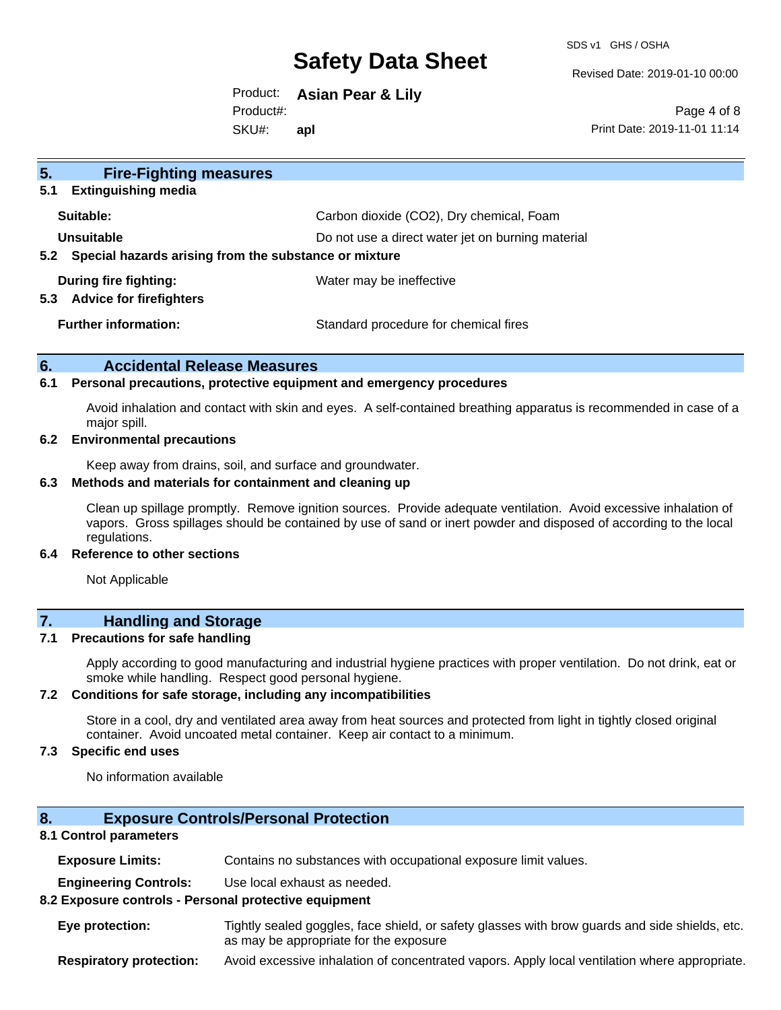SDS v1 GHS / OSHA

Revised Date: 2019-01-10 00:00

Product: **Asian Pear & Lily** SKU#: Product#: **apl**

Page 4 of 8 Print Date: 2019-11-01 11:14

| 5 <sub>1</sub><br><b>Fire-Fighting measures</b>                |                                                   |
|----------------------------------------------------------------|---------------------------------------------------|
| <b>Extinguishing media</b><br>5.1                              |                                                   |
| Suitable:                                                      | Carbon dioxide (CO2), Dry chemical, Foam          |
| Unsuitable                                                     | Do not use a direct water jet on burning material |
| 5.2 Special hazards arising from the substance or mixture      |                                                   |
| During fire fighting:<br><b>Advice for firefighters</b><br>5.3 | Water may be ineffective                          |
| <b>Further information:</b>                                    | Standard procedure for chemical fires             |

## **6. Accidental Release Measures**

#### **6.1 Personal precautions, protective equipment and emergency procedures**

Avoid inhalation and contact with skin and eyes. A self-contained breathing apparatus is recommended in case of a major spill.

#### **6.2 Environmental precautions**

Keep away from drains, soil, and surface and groundwater.

#### **6.3 Methods and materials for containment and cleaning up**

Clean up spillage promptly. Remove ignition sources. Provide adequate ventilation. Avoid excessive inhalation of vapors. Gross spillages should be contained by use of sand or inert powder and disposed of according to the local regulations.

#### **6.4 Reference to other sections**

Not Applicable

## **7. Handling and Storage**

### **7.1 Precautions for safe handling**

Apply according to good manufacturing and industrial hygiene practices with proper ventilation. Do not drink, eat or smoke while handling. Respect good personal hygiene.

#### **7.2 Conditions for safe storage, including any incompatibilities**

Store in a cool, dry and ventilated area away from heat sources and protected from light in tightly closed original container. Avoid uncoated metal container. Keep air contact to a minimum.

## **7.3 Specific end uses**

No information available

## **8. Exposure Controls/Personal Protection**

#### **8.1 Control parameters**

**Exposure Limits:** Contains no substances with occupational exposure limit values.

**Engineering Controls:** Use local exhaust as needed.

#### **8.2 Exposure controls - Personal protective equipment**

**Eye protection:** Tightly sealed goggles, face shield, or safety glasses with brow guards and side shields, etc. as may be appropriate for the exposure

**Respiratory protection:** Avoid excessive inhalation of concentrated vapors. Apply local ventilation where appropriate.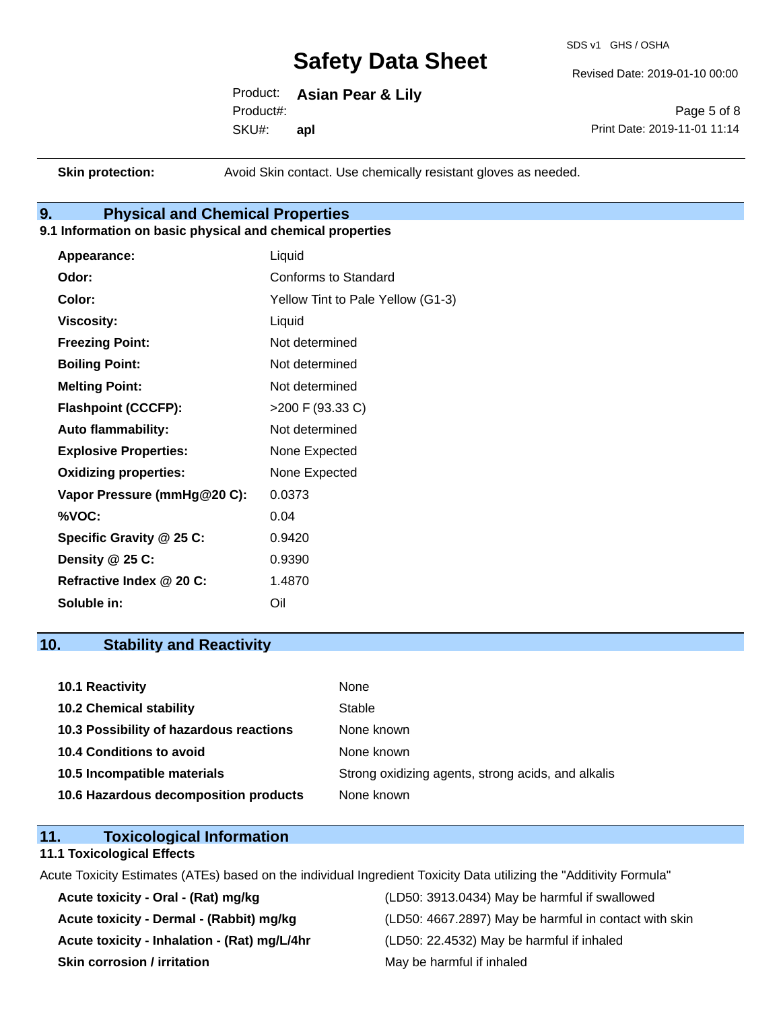SDS v1 GHS / OSHA

Revised Date: 2019-01-10 00:00

Product: **Asian Pear & Lily** SKU#: Product#: **apl**

Page 5 of 8 Print Date: 2019-11-01 11:14

**Skin protection:** Avoid Skin contact. Use chemically resistant gloves as needed.

## **9. Physical and Chemical Properties**

## **9.1 Information on basic physical and chemical properties**

| Appearance:                  | Liquid                            |
|------------------------------|-----------------------------------|
| Odor:                        | <b>Conforms to Standard</b>       |
| Color:                       | Yellow Tint to Pale Yellow (G1-3) |
| <b>Viscosity:</b>            | Liquid                            |
| <b>Freezing Point:</b>       | Not determined                    |
| <b>Boiling Point:</b>        | Not determined                    |
| <b>Melting Point:</b>        | Not determined                    |
| <b>Flashpoint (CCCFP):</b>   | >200 F (93.33 C)                  |
| <b>Auto flammability:</b>    | Not determined                    |
| <b>Explosive Properties:</b> | None Expected                     |
| <b>Oxidizing properties:</b> | None Expected                     |
| Vapor Pressure (mmHg@20 C):  | 0.0373                            |
| %VOC:                        | 0.04                              |
| Specific Gravity @ 25 C:     | 0.9420                            |
| Density @ 25 C:              | 0.9390                            |
| Refractive Index @ 20 C:     | 1.4870                            |
| Soluble in:                  | Oil                               |

## **10. Stability and Reactivity**

| 10.1 Reactivity                         | None                                               |
|-----------------------------------------|----------------------------------------------------|
| <b>10.2 Chemical stability</b>          | Stable                                             |
| 10.3 Possibility of hazardous reactions | None known                                         |
| 10.4 Conditions to avoid                | None known                                         |
| 10.5 Incompatible materials             | Strong oxidizing agents, strong acids, and alkalis |
| 10.6 Hazardous decomposition products   | None known                                         |

## **11. Toxicological Information**

### **11.1 Toxicological Effects**

Acute Toxicity Estimates (ATEs) based on the individual Ingredient Toxicity Data utilizing the "Additivity Formula"

**Acute toxicity - Inhalation - (Rat) mg/L/4hr** (LD50: 22.4532) May be harmful if inhaled **Skin corrosion / irritation** May be harmful if inhaled

**Acute toxicity - Oral - (Rat) mg/kg** (LD50: 3913.0434) May be harmful if swallowed Acute toxicity - Dermal - (Rabbit) mg/kg <br>
(LD50: 4667.2897) May be harmful in contact with skin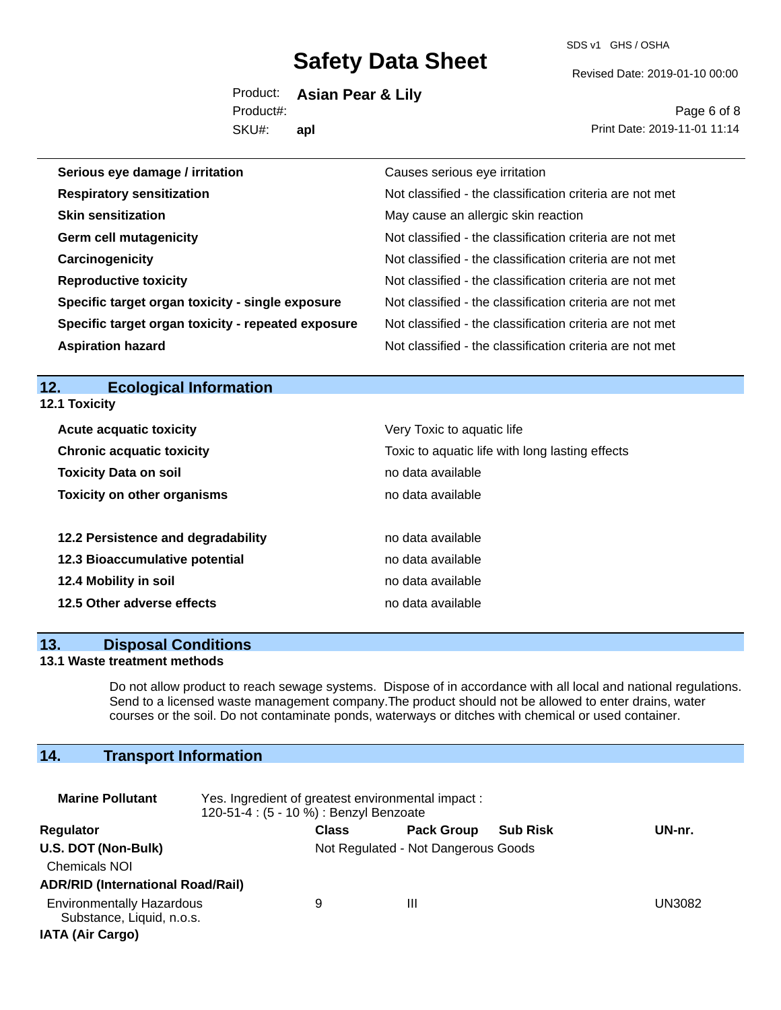SDS v1 GHS / OSHA

Revised Date: 2019-01-10 00:00

Product: **Asian Pear & Lily** SKU#: Product#: **apl**

Page 6 of 8 Print Date: 2019-11-01 11:14

| Serious eye damage / irritation                    | Causes serious eye irritation                            |
|----------------------------------------------------|----------------------------------------------------------|
| <b>Respiratory sensitization</b>                   | Not classified - the classification criteria are not met |
| <b>Skin sensitization</b>                          | May cause an allergic skin reaction                      |
| <b>Germ cell mutagenicity</b>                      | Not classified - the classification criteria are not met |
| Carcinogenicity                                    | Not classified - the classification criteria are not met |
| <b>Reproductive toxicity</b>                       | Not classified - the classification criteria are not met |
| Specific target organ toxicity - single exposure   | Not classified - the classification criteria are not met |
| Specific target organ toxicity - repeated exposure | Not classified - the classification criteria are not met |
| <b>Aspiration hazard</b>                           | Not classified - the classification criteria are not met |

### **12. Ecological Information 12.1 Toxicity**

| <b>Acute acquatic toxicity</b>     | Very Toxic to aquatic life                      |
|------------------------------------|-------------------------------------------------|
| <b>Chronic acquatic toxicity</b>   | Toxic to aquatic life with long lasting effects |
| <b>Toxicity Data on soil</b>       | no data available                               |
| <b>Toxicity on other organisms</b> | no data available                               |
|                                    |                                                 |
| 12.2 Persistence and degradability | no data available                               |
| 12.3 Bioaccumulative potential     | no data available                               |
| 12.4 Mobility in soil              | no data available                               |
| 12.5 Other adverse effects         | no data available                               |

### **13. Disposal Conditions**

## **13.1 Waste treatment methods**

Do not allow product to reach sewage systems. Dispose of in accordance with all local and national regulations. Send to a licensed waste management company.The product should not be allowed to enter drains, water courses or the soil. Do not contaminate ponds, waterways or ditches with chemical or used container.

## **14. Transport Information**

| <b>Marine Pollutant</b>                                                                  | Yes. Ingredient of greatest environmental impact:<br>120-51-4 : (5 - 10 %) : Benzyl Benzoate |              |                                     |                 |        |
|------------------------------------------------------------------------------------------|----------------------------------------------------------------------------------------------|--------------|-------------------------------------|-----------------|--------|
| Regulator                                                                                |                                                                                              | <b>Class</b> | <b>Pack Group</b>                   | <b>Sub Risk</b> | UN-nr. |
| U.S. DOT (Non-Bulk)<br><b>Chemicals NOI</b><br><b>ADR/RID (International Road/Rail)</b>  |                                                                                              |              | Not Regulated - Not Dangerous Goods |                 |        |
| <b>Environmentally Hazardous</b><br>Substance, Liquid, n.o.s.<br><b>IATA (Air Cargo)</b> |                                                                                              | 9            | Ш                                   |                 | UN3082 |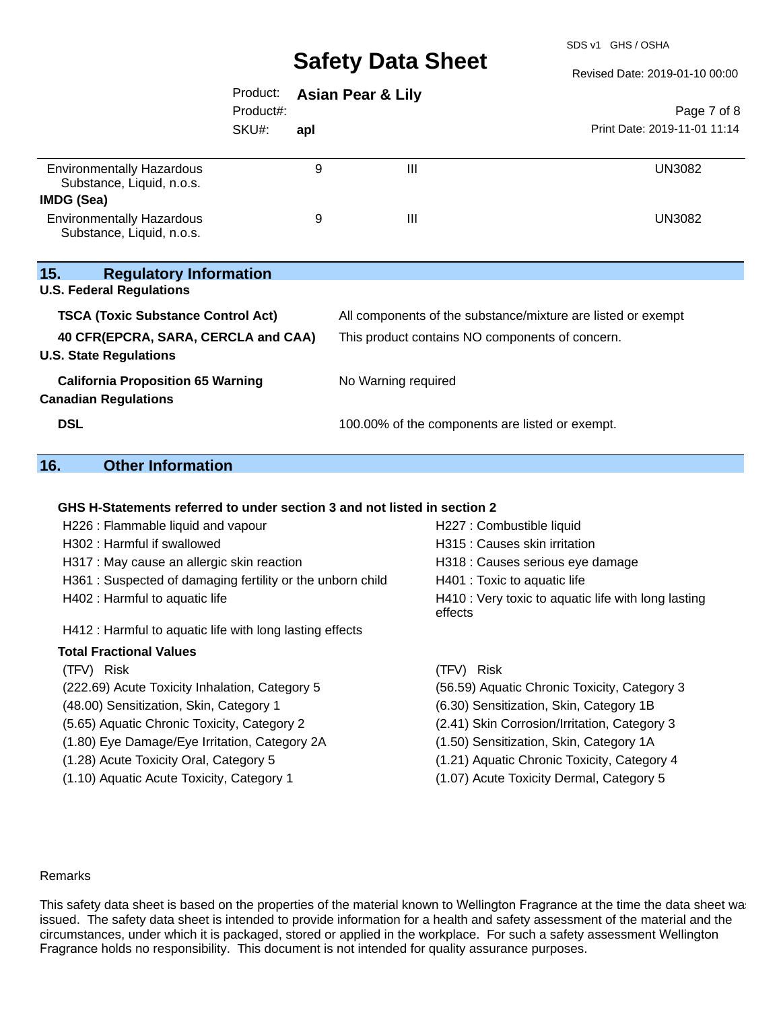SDS v1 GHS / OSHA

Revised Date: 2019-01-10 00:00

|                                                                             | Product:           | <b>Asian Pear &amp; Lily</b>                    |                                                              |                                             |
|-----------------------------------------------------------------------------|--------------------|-------------------------------------------------|--------------------------------------------------------------|---------------------------------------------|
|                                                                             | Product#:<br>SKU#: | apl                                             |                                                              | Page 7 of 8<br>Print Date: 2019-11-01 11:14 |
| <b>Environmentally Hazardous</b><br>Substance, Liquid, n.o.s.<br>IMDG (Sea) |                    | 9                                               | $\mathbf{III}$                                               | <b>UN3082</b>                               |
| <b>Environmentally Hazardous</b><br>Substance, Liquid, n.o.s.               |                    | 9                                               | $\mathbf{III}$                                               | <b>UN3082</b>                               |
| 15.<br><b>Regulatory Information</b>                                        |                    |                                                 |                                                              |                                             |
| <b>U.S. Federal Regulations</b>                                             |                    |                                                 |                                                              |                                             |
| <b>TSCA (Toxic Substance Control Act)</b>                                   |                    |                                                 | All components of the substance/mixture are listed or exempt |                                             |
| 40 CFR(EPCRA, SARA, CERCLA and CAA)<br><b>U.S. State Regulations</b>        |                    | This product contains NO components of concern. |                                                              |                                             |
| <b>California Proposition 65 Warning</b><br><b>Canadian Regulations</b>     |                    |                                                 | No Warning required                                          |                                             |
| <b>DSL</b>                                                                  |                    |                                                 | 100.00% of the components are listed or exempt.              |                                             |

## **16. Other Information**

#### **GHS H-Statements referred to under section 3 and not listed in section 2**

| H227 : Combustible liquid                                      |  |
|----------------------------------------------------------------|--|
| H315 : Causes skin irritation                                  |  |
| H318 : Causes serious eye damage                               |  |
| H401 : Toxic to aquatic life                                   |  |
| H410 : Very toxic to aquatic life with long lasting<br>effects |  |
|                                                                |  |
|                                                                |  |
| (TFV) Risk                                                     |  |
| (56.59) Aquatic Chronic Toxicity, Category 3                   |  |
| (6.30) Sensitization, Skin, Category 1B                        |  |
| (2.41) Skin Corrosion/Irritation, Category 3                   |  |
| (1.50) Sensitization, Skin, Category 1A                        |  |
| (1.21) Aquatic Chronic Toxicity, Category 4                    |  |
| (1.07) Acute Toxicity Dermal, Category 5                       |  |
|                                                                |  |

#### Remarks

This safety data sheet is based on the properties of the material known to Wellington Fragrance at the time the data sheet was issued. The safety data sheet is intended to provide information for a health and safety assessment of the material and the circumstances, under which it is packaged, stored or applied in the workplace. For such a safety assessment Wellington Fragrance holds no responsibility. This document is not intended for quality assurance purposes.